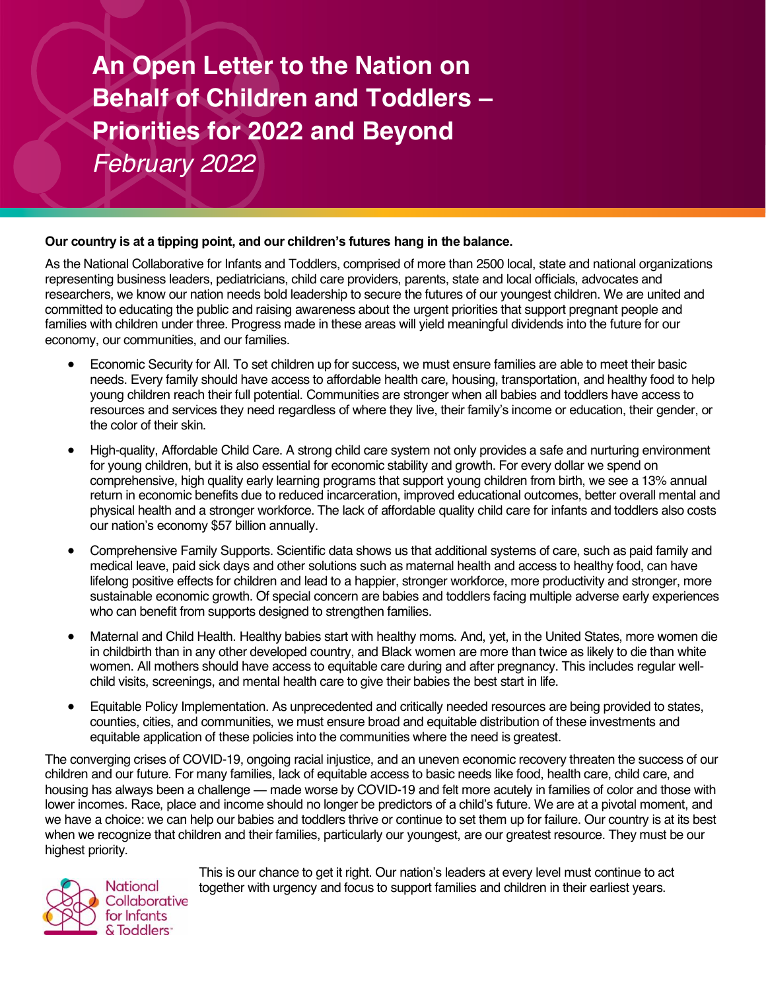**An Open Letter to the Nation on Behalf of Children and Toddlers – Priorities for 2022 and Beyond** *February 2022*

# **Our country is at a tipping point, and our children's futures hang in the balance.**

As the National Collaborative for Infants and Toddlers, comprised of more than 2500 local, state and national organizations representing business leaders, pediatricians, child care providers, parents, state and local officials, advocates and researchers, we know our nation needs bold leadership to secure the futures of our youngest children. We are united and committed to educating the public and raising awareness about the urgent priorities that support pregnant people and families with children under three. Progress made in these areas will yield meaningful dividends into the future for our economy, our communities, and our families.

- Economic Security for All. To set children up for success, we must ensure families are able to meet their basic needs. Every family should have access to affordable health care, housing, transportation, and healthy food to help young children reach their full potential. Communities are stronger when all babies and toddlers have access to resources and services they need regardless of where they live, their family's income or education, their gender, or the color of their skin.
- High-quality, Affordable Child Care. A strong child care system not only provides a safe and nurturing environment for young children, but it is also essential for economic stability and growth. For every dollar we spend on comprehensive, high quality early learning programs that support young children from birth, we see a 13% annual return in economic benefits due to reduced incarceration, improved educational outcomes, better overall mental and physical health and a stronger workforce. The lack of affordable quality child care for infants and toddlers also costs our nation's economy \$57 billion annually.
- Comprehensive Family Supports. Scientific data shows us that additional systems of care, such as paid family and medical leave, paid sick days and other solutions such as maternal health and access to healthy food, can have lifelong positive effects for children and lead to a happier, stronger workforce, more productivity and stronger, more sustainable economic growth. Of special concern are babies and toddlers facing multiple adverse early experiences who can benefit from supports designed to strengthen families.
- Maternal and Child Health. Healthy babies start with healthy moms. And, yet, in the United States, more women die in childbirth than in any other developed country, and Black women are more than twice as likely to die than white women. All mothers should have access to equitable care during and after pregnancy. This includes regular wellchild visits, screenings, and mental health care to give their babies the best start in life.
- Equitable Policy Implementation. As unprecedented and critically needed resources are being provided to states, counties, cities, and communities, we must ensure broad and equitable distribution of these investments and equitable application of these policies into the communities where the need is greatest.

The converging crises of COVID-19, ongoing racial injustice, and an uneven economic recovery threaten the success of our children and our future. For many families, lack of equitable access to basic needs like food, health care, child care, and housing has always been a challenge — made worse by COVID-19 and felt more acutely in families of color and those with lower incomes. Race, place and income should no longer be predictors of a child's future. We are at a pivotal moment, and we have a choice: we can help our babies and toddlers thrive or continue to set them up for failure. Our country is at its best when we recognize that children and their families, particularly our youngest, are our greatest resource. They must be our highest priority.



This is our chance to get it right. Our nation's leaders at every level must continue to act together with urgency and focus to support families and children in their earliest years.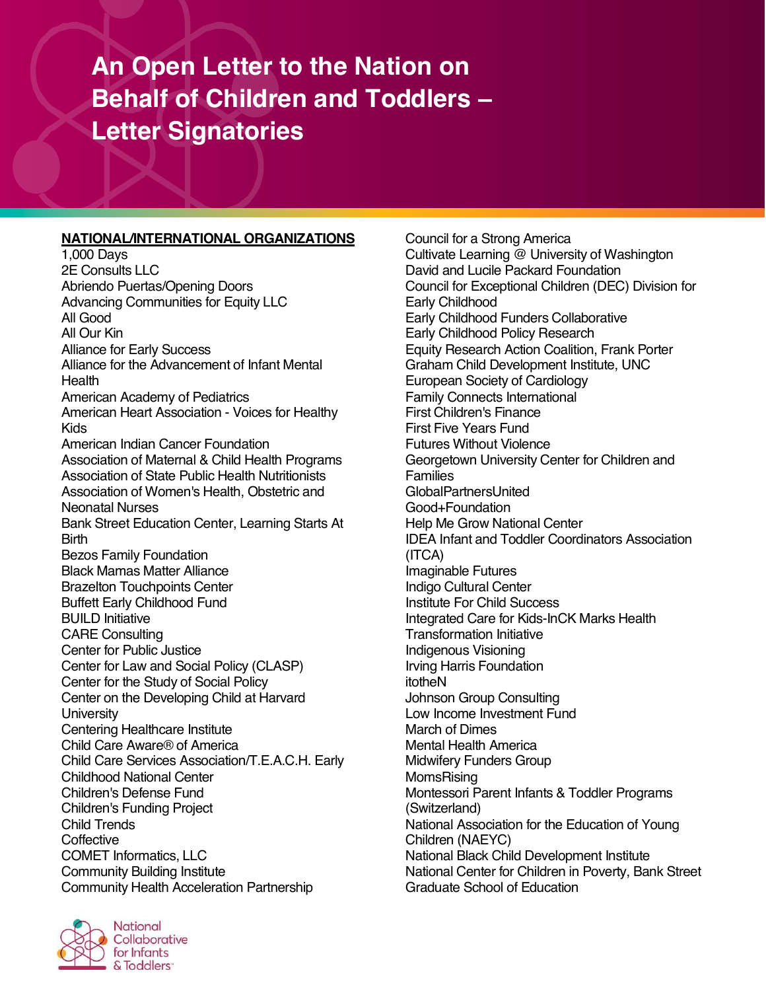# **An Open Letter to the Nation on Behalf of Children and Toddlers – Letter Signatories**

# **NATIONAL/INTERNATIONAL ORGANIZATIONS** Cours<br>1,000 Davs **NATIONAL/INTERNATIONAL ORGANIZATIONS**

1,000 Days 2E Consults LLC Abriendo Puertas/Opening Doors Advancing Communities for Equity LLC All Good All Our Kin Alliance for Early Success Alliance for the Advancement of Infant Mental **Health** American Academy of Pediatrics American Heart Association - Voices for Healthy Kids American Indian Cancer Foundation Association of Maternal & Child Health Programs Association of State Public Health Nutritionists Association of Women's Health, Obstetric and Neonatal Nurses Bank Street Education Center, Learning Starts At **Birth** Bezos Family Foundation Black Mamas Matter Alliance Brazelton Touchpoints Center Buffett Early Childhood Fund BUILD Initiative CARE Consulting Center for Public Justice Center for Law and Social Policy (CLASP) Center for the Study of Social Policy Center on the Developing Child at Harvard **University** Centering Healthcare Institute Child Care Aware® of America Child Care Services Association/T.E.A.C.H. Early Childhood National Center Children's Defense Fund Children's Funding Project Child Trends **Coffective** COMET Informatics, LLC Community Building Institute Community Health Acceleration Partnership



Council for a Strong America Cultivate Learning @ University of Washington David and Lucile Packard Foundation Council for Exceptional Children (DEC) Division for Early Childhood Early Childhood Funders Collaborative Early Childhood Policy Research Equity Research Action Coalition, Frank Porter Graham Child Development Institute, UNC European Society of Cardiology Family Connects International First Children's Finance First Five Years Fund Futures Without Violence Georgetown University Center for Children and Families GlobalPartnersUnited Good+Foundation Help Me Grow National Center IDEA Infant and Toddler Coordinators Association (ITCA) Imaginable Futures Indigo Cultural Center Institute For Child Success Integrated Care for Kids-InCK Marks Health Transformation Initiative Indigenous Visioning Irving Harris Foundation itotheN Johnson Group Consulting Low Income Investment Fund March of Dimes Mental Health America Midwifery Funders Group **MomsRising** Montessori Parent Infants & Toddler Programs (Switzerland) National Association for the Education of Young Children (NAEYC) National Black Child Development Institute National Center for Children in Poverty, Bank Street Graduate School of Education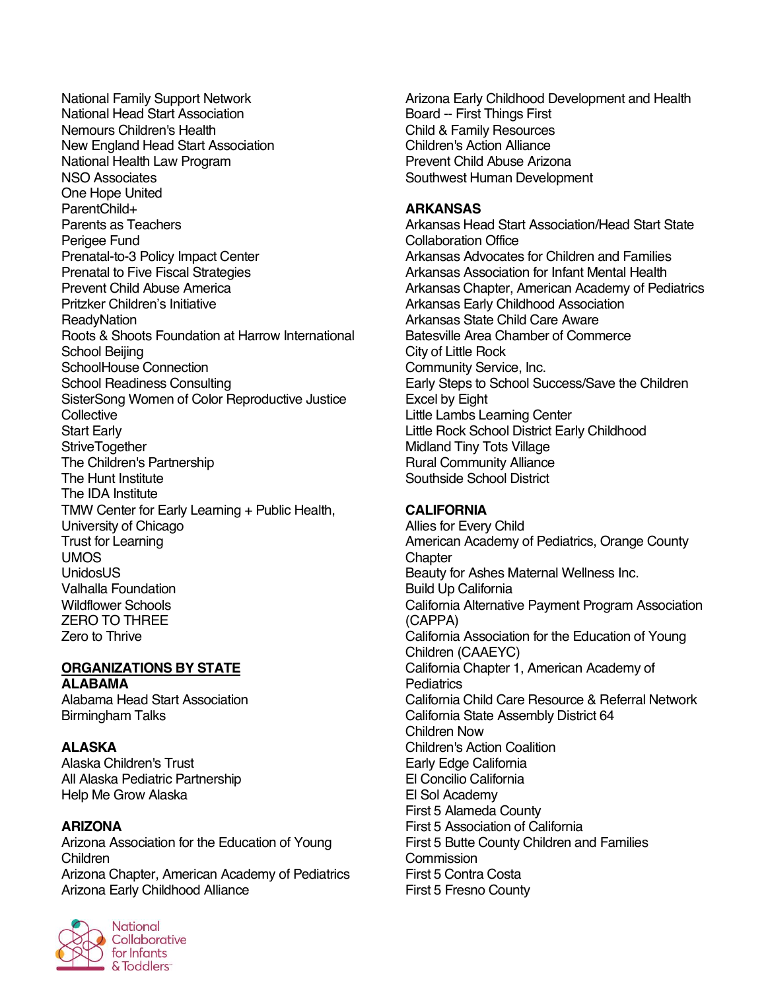National Family Support Network National Head Start Association Nemours Children's Health New England Head Start Association National Health Law Program NSO Associates One Hope United ParentChild+ Parents as Teachers Perigee Fund Prenatal-to-3 Policy Impact Center Prenatal to Five Fiscal Strategies Prevent Child Abuse America Pritzker Children's Initiative **ReadyNation** Roots & Shoots Foundation at Harrow International School Beijing SchoolHouse Connection School Readiness Consulting SisterSong Women of Color Reproductive Justice **Collective** Start Early **StriveTogether** The Children's Partnership The Hunt Institute The IDA Institute TMW Center for Early Learning + Public Health, University of Chicago Trust for Learning UMOS UnidosUS Valhalla Foundation Wildflower Schools ZERO TO THREE Zero to Thrive

# **ORGANIZATIONS BY STATE ALABAMA**

Alabama Head Start Association Birmingham Talks

**ALASKA** Alaska Children's Trust All Alaska Pediatric Partnership Help Me Grow Alaska

#### **ARIZONA**

Arizona Association for the Education of Young Children Arizona Chapter, American Academy of Pediatrics Arizona Early Childhood Alliance



Arizona Early Childhood Development and Health Board -- First Things First Child & Family Resources Children's Action Alliance Prevent Child Abuse Arizona Southwest Human Development

#### **ARKANSAS**

Arkansas Head Start Association/Head Start State Collaboration Office Arkansas Advocates for Children and Families Arkansas Association for Infant Mental Health Arkansas Chapter, American Academy of Pediatrics Arkansas Early Childhood Association Arkansas State Child Care Aware Batesville Area Chamber of Commerce City of Little Rock Community Service, Inc. Early Steps to School Success/Save the Children Excel by Eight Little Lambs Learning Center Little Rock School District Early Childhood Midland Tiny Tots Village Rural Community Alliance Southside School District

#### **CALIFORNIA**

Allies for Every Child American Academy of Pediatrics, Orange County **Chapter** Beauty for Ashes Maternal Wellness Inc. Build Up California California Alternative Payment Program Association (CAPPA) California Association for the Education of Young Children (CAAEYC) California Chapter 1, American Academy of **Pediatrics** California Child Care Resource & Referral Network California State Assembly District 64 Children Now Children's Action Coalition Early Edge California El Concilio California El Sol Academy First 5 Alameda County First 5 Association of California First 5 Butte County Children and Families **Commission** First 5 Contra Costa First 5 Fresno County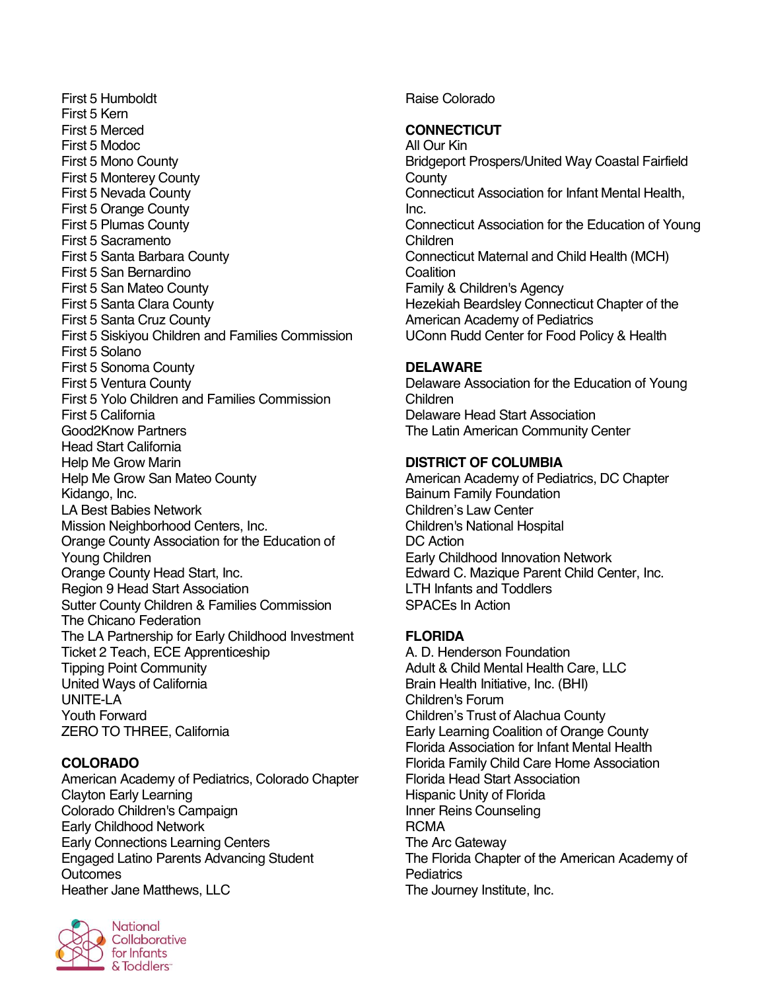First 5 Humboldt First 5 Kern First 5 Merced First 5 Modoc First 5 Mono County First 5 Monterey County First 5 Nevada County First 5 Orange County First 5 Plumas County First 5 Sacramento First 5 Santa Barbara County First 5 San Bernardino First 5 San Mateo County First 5 Santa Clara County First 5 Santa Cruz County First 5 Siskiyou Children and Families Commission First 5 Solano First 5 Sonoma County First 5 Ventura County First 5 Yolo Children and Families Commission First 5 California Good2Know Partners Head Start California Help Me Grow Marin Help Me Grow San Mateo County Kidango, Inc. LA Best Babies Network Mission Neighborhood Centers, Inc. Orange County Association for the Education of Young Children Orange County Head Start, Inc. Region 9 Head Start Association Sutter County Children & Families Commission The Chicano Federation The LA Partnership for Early Childhood Investment Ticket 2 Teach, ECE Apprenticeship Tipping Point Community United Ways of California UNITE-LA Youth Forward ZERO TO THREE, California

# **COLORADO**

American Academy of Pediatrics, Colorado Chapter Clayton Early Learning Colorado Children's Campaign Early Childhood Network Early Connections Learning Centers Engaged Latino Parents Advancing Student **Outcomes** Heather Jane Matthews, LLC



**National** Collaborative for Infants & Toddlers<sup>-</sup>

Raise Colorado

# **CONNECTICUT**

All Our Kin Bridgeport Prospers/United Way Coastal Fairfield **County** Connecticut Association for Infant Mental Health, Inc. Connecticut Association for the Education of Young Children Connecticut Maternal and Child Health (MCH) **Coalition** Family & Children's Agency Hezekiah Beardsley Connecticut Chapter of the American Academy of Pediatrics UConn Rudd Center for Food Policy & Health

## **DELAWARE**

Delaware Association for the Education of Young Children Delaware Head Start Association The Latin American Community Center

## **DISTRICT OF COLUMBIA**

American Academy of Pediatrics, DC Chapter Bainum Family Foundation Children's Law Center Children's National Hospital DC Action Early Childhood Innovation Network Edward C. Mazique Parent Child Center, Inc. LTH Infants and Toddlers SPACEs In Action

# **FLORIDA**

A. D. Henderson Foundation Adult & Child Mental Health Care, LLC Brain Health Initiative, Inc. (BHI) Children's Forum Children's Trust of Alachua County Early Learning Coalition of Orange County Florida Association for Infant Mental Health Florida Family Child Care Home Association Florida Head Start Association Hispanic Unity of Florida Inner Reins Counseling **RCMA** The Arc Gateway The Florida Chapter of the American Academy of **Pediatrics** The Journey Institute, Inc.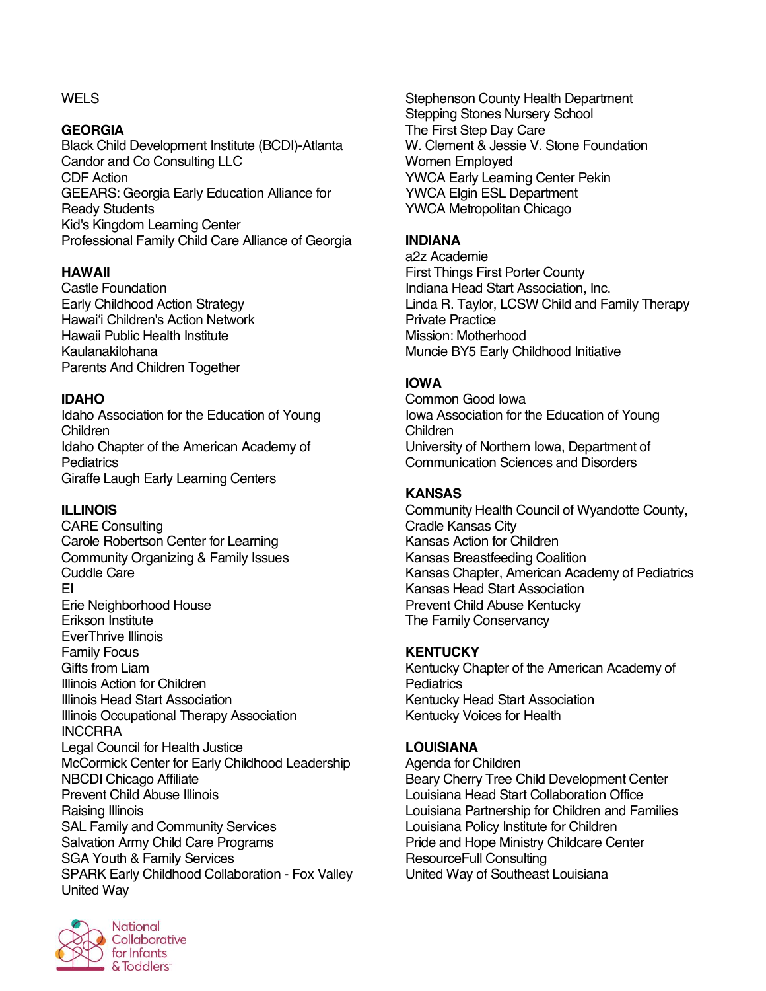## **WELS**

#### **GEORGIA**

Black Child Development Institute (BCDI)-Atlanta Candor and Co Consulting LLC CDF Action GEEARS: Georgia Early Education Alliance for Ready Students Kid's Kingdom Learning Center Professional Family Child Care Alliance of Georgia

# **HAWAII**

Castle Foundation Early Childhood Action Strategy Hawaiʻi Children's Action Network Hawaii Public Health Institute Kaulanakilohana Parents And Children Together

## **IDAHO**

Idaho Association for the Education of Young Children Idaho Chapter of the American Academy of **Pediatrics** Giraffe Laugh Early Learning Centers

#### **ILLINOIS**

CARE Consulting Carole Robertson Center for Learning Community Organizing & Family Issues Cuddle Care EI Erie Neighborhood House Erikson Institute EverThrive Illinois Family Focus Gifts from Liam Illinois Action for Children Illinois Head Start Association Illinois Occupational Therapy Association INCCRRA Legal Council for Health Justice McCormick Center for Early Childhood Leadership NBCDI Chicago Affiliate Prevent Child Abuse Illinois Raising Illinois SAL Family and Community Services Salvation Army Child Care Programs SGA Youth & Family Services SPARK Early Childhood Collaboration - Fox Valley United Way



Stephenson County Health Department Stepping Stones Nursery School The First Step Day Care W. Clement & Jessie V. Stone Foundation Women Employed YWCA Early Learning Center Pekin YWCA Elgin ESL Department YWCA Metropolitan Chicago

# **INDIANA**

a2z Academie First Things First Porter County Indiana Head Start Association, Inc. Linda R. Taylor, LCSW Child and Family Therapy Private Practice Mission: Motherhood Muncie BY5 Early Childhood Initiative

# **IOWA**

Common Good Iowa Iowa Association for the Education of Young Children University of Northern Iowa, Department of Communication Sciences and Disorders

## **KANSAS**

Community Health Council of Wyandotte County, Cradle Kansas City Kansas Action for Children Kansas Breastfeeding Coalition Kansas Chapter, American Academy of Pediatrics Kansas Head Start Association Prevent Child Abuse Kentucky The Family Conservancy

#### **KENTUCKY**

Kentucky Chapter of the American Academy of **Pediatrics** Kentucky Head Start Association Kentucky Voices for Health

#### **LOUISIANA**

Agenda for Children Beary Cherry Tree Child Development Center Louisiana Head Start Collaboration Office Louisiana Partnership for Children and Families Louisiana Policy Institute for Children Pride and Hope Ministry Childcare Center ResourceFull Consulting United Way of Southeast Louisiana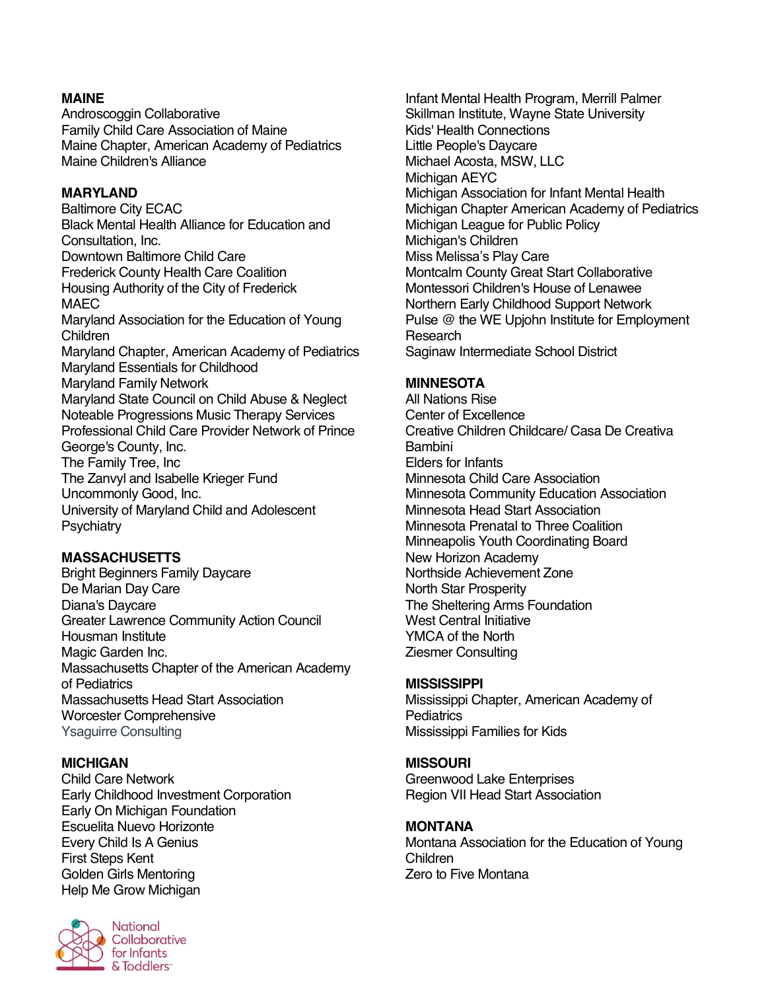# **MAINE**

Androscoggin Collaborative Family Child Care Association of Maine Maine Chapter, American Academy of Pediatrics Maine Children's Alliance

#### **MARYLAND**

Baltimore City ECAC Black Mental Health Alliance for Education and Consultation, Inc. Downtown Baltimore Child Care Frederick County Health Care Coalition Housing Authority of the City of Frederick MAEC Maryland Association for the Education of Young Children Maryland Chapter, American Academy of Pediatrics Maryland Essentials for Childhood Maryland Family Network Maryland State Council on Child Abuse & Neglect Noteable Progressions Music Therapy Services Professional Child Care Provider Network of Prince George's County, Inc. The Family Tree, Inc The Zanvyl and Isabelle Krieger Fund Uncommonly Good, Inc. University of Maryland Child and Adolescent **Psychiatry** 

#### **MASSACHUSETTS**

Bright Beginners Family Daycare De Marian Day Care Diana's Daycare Greater Lawrence Community Action Council Housman Institute Magic Garden Inc. Massachusetts Chapter of the American Academy of Pediatrics Massachusetts Head Start Association Worcester Comprehensive Ysaguirre Consulting

#### **MICHIGAN**

Child Care Network Early Childhood Investment Corporation Early On Michigan Foundation Escuelita Nuevo Horizonte Every Child Is A Genius First Steps Kent Golden Girls Mentoring Help Me Grow Michigan



**National** Collaborative for Infants & Toddlers<sup>-</sup>

Infant Mental Health Program, Merrill Palmer Skillman Institute, Wayne State University Kids' Health Connections Little People's Daycare Michael Acosta, MSW, LLC Michigan AEYC Michigan Association for Infant Mental Health Michigan Chapter American Academy of Pediatrics Michigan League for Public Policy Michigan's Children Miss Melissa's Play Care Montcalm County Great Start Collaborative Montessori Children's House of Lenawee Northern Early Childhood Support Network Pulse @ the WE Upjohn Institute for Employment Research Saginaw Intermediate School District

#### **MINNESOTA**

All Nations Rise Center of Excellence Creative Children Childcare/ Casa De Creativa Bambini Elders for Infants Minnesota Child Care Association Minnesota Community Education Association Minnesota Head Start Association Minnesota Prenatal to Three Coalition Minneapolis Youth Coordinating Board New Horizon Academy Northside Achievement Zone North Star Prosperity The Sheltering Arms Foundation West Central Initiative YMCA of the North Ziesmer Consulting

#### **MISSISSIPPI**

Mississippi Chapter, American Academy of **Pediatrics** Mississippi Families for Kids

#### **MISSOURI**

Greenwood Lake Enterprises Region VII Head Start Association

#### **MONTANA**

Montana Association for the Education of Young Children Zero to Five Montana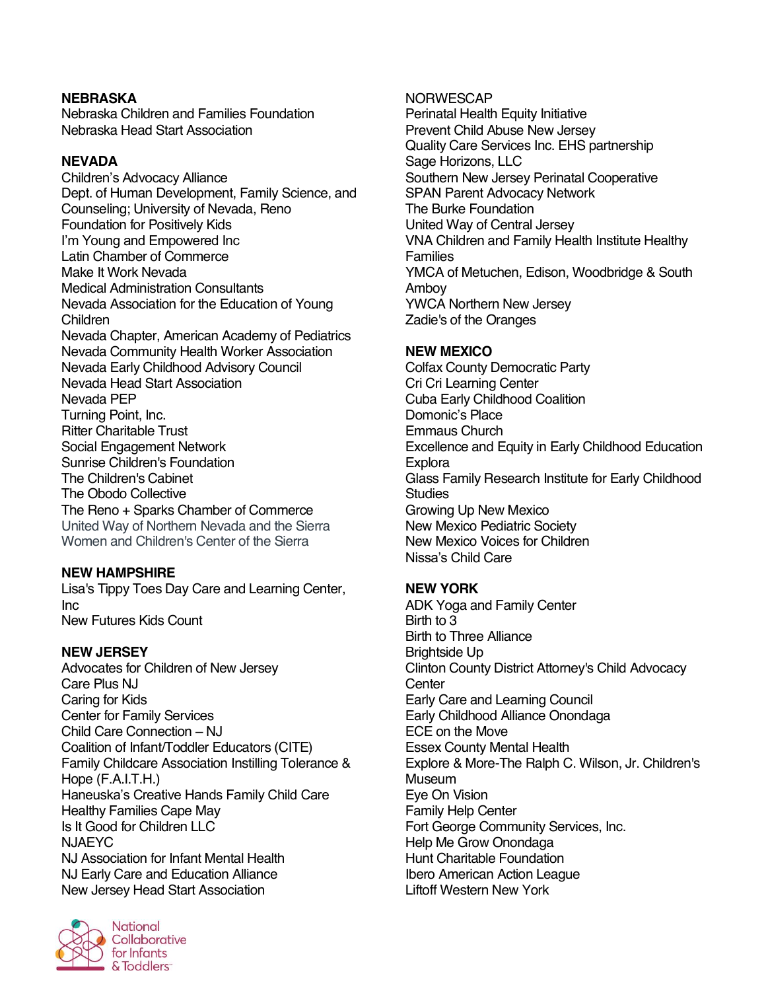# **NEBRASKA**

Nebraska Children and Families Foundation Nebraska Head Start Association

#### **NEVADA**

Children's Advocacy Alliance Dept. of Human Development, Family Science, and Counseling; University of Nevada, Reno Foundation for Positively Kids I'm Young and Empowered Inc Latin Chamber of Commerce Make It Work Nevada Medical Administration Consultants Nevada Association for the Education of Young Children Nevada Chapter, American Academy of Pediatrics Nevada Community Health Worker Association Nevada Early Childhood Advisory Council Nevada Head Start Association Nevada PEP Turning Point, Inc. Ritter Charitable Trust Social Engagement Network Sunrise Children's Foundation The Children's Cabinet The Obodo Collective The Reno + Sparks Chamber of Commerce United Way of Northern Nevada and the Sierra Women and Children's Center of the Sierra

# **NEW HAMPSHIRE**

Lisa's Tippy Toes Day Care and Learning Center, Inc New Futures Kids Count

#### **NEW JERSEY**

Advocates for Children of New Jersey Care Plus NJ Caring for Kids Center for Family Services Child Care Connection – NJ Coalition of Infant/Toddler Educators (CITE) Family Childcare Association Instilling Tolerance & Hope (F.A.I.T.H.) Haneuska's Creative Hands Family Child Care Healthy Families Cape May Is It Good for Children LLC NJAEYC NJ Association for Infant Mental Health NJ Early Care and Education Alliance New Jersey Head Start Association



NORWESCAP

Perinatal Health Equity Initiative Prevent Child Abuse New Jersey Quality Care Services Inc. EHS partnership Sage Horizons, LLC Southern New Jersey Perinatal Cooperative SPAN Parent Advocacy Network The Burke Foundation United Way of Central Jersey VNA Children and Family Health Institute Healthy Families YMCA of Metuchen, Edison, Woodbridge & South Amboy YWCA Northern New Jersey Zadie's of the Oranges

## **NEW MEXICO**

Colfax County Democratic Party Cri Cri Learning Center Cuba Early Childhood Coalition Domonic's Place Emmaus Church Excellence and Equity in Early Childhood Education **Explora** Glass Family Research Institute for Early Childhood **Studies** Growing Up New Mexico New Mexico Pediatric Society New Mexico Voices for Children Nissa's Child Care

# **NEW YORK**

ADK Yoga and Family Center Birth to 3 Birth to Three Alliance Brightside Up Clinton County District Attorney's Child Advocacy **Center** Early Care and Learning Council Early Childhood Alliance Onondaga ECE on the Move Essex County Mental Health Explore & More-The Ralph C. Wilson, Jr. Children's **Museum** Eye On Vision Family Help Center Fort George Community Services, Inc. Help Me Grow Onondaga Hunt Charitable Foundation Ibero American Action League Liftoff Western New York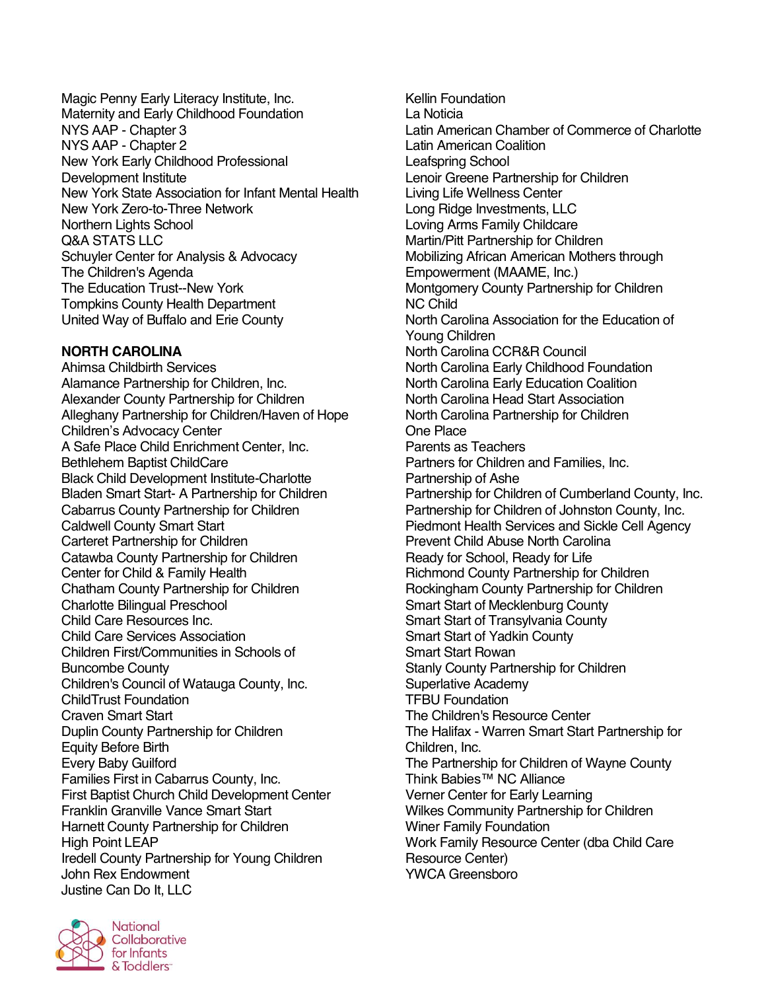Magic Penny Early Literacy Institute, Inc. Maternity and Early Childhood Foundation NYS AAP - Chapter 3 NYS AAP - Chapter 2 New York Early Childhood Professional Development Institute New York State Association for Infant Mental Health New York Zero-to-Three Network Northern Lights School Q&A STATS LLC Schuyler Center for Analysis & Advocacy The Children's Agenda The Education Trust--New York Tompkins County Health Department United Way of Buffalo and Erie County

## **NORTH CAROLINA**

Ahimsa Childbirth Services Alamance Partnership for Children, Inc. Alexander County Partnership for Children Alleghany Partnership for Children/Haven of Hope Children's Advocacy Center A Safe Place Child Enrichment Center, Inc. Bethlehem Baptist ChildCare Black Child Development Institute-Charlotte Bladen Smart Start- A Partnership for Children Cabarrus County Partnership for Children Caldwell County Smart Start Carteret Partnership for Children Catawba County Partnership for Children Center for Child & Family Health Chatham County Partnership for Children Charlotte Bilingual Preschool Child Care Resources Inc. Child Care Services Association Children First/Communities in Schools of Buncombe County Children's Council of Watauga County, Inc. ChildTrust Foundation Craven Smart Start Duplin County Partnership for Children Equity Before Birth Every Baby Guilford Families First in Cabarrus County, Inc. First Baptist Church Child Development Center Franklin Granville Vance Smart Start Harnett County Partnership for Children High Point LEAP Iredell County Partnership for Young Children John Rex Endowment Justine Can Do It, LLC

Kellin Foundation La Noticia Latin American Chamber of Commerce of Charlotte Latin American Coalition Leafspring School Lenoir Greene Partnership for Children Living Life Wellness Center Long Ridge Investments, LLC Loving Arms Family Childcare Martin/Pitt Partnership for Children Mobilizing African American Mothers through Empowerment (MAAME, Inc.) Montgomery County Partnership for Children NC Child North Carolina Association for the Education of Young Children North Carolina CCR&R Council North Carolina Early Childhood Foundation North Carolina Early Education Coalition North Carolina Head Start Association North Carolina Partnership for Children One Place Parents as Teachers Partners for Children and Families, Inc. Partnership of Ashe Partnership for Children of Cumberland County, Inc. Partnership for Children of Johnston County, Inc. Piedmont Health Services and Sickle Cell Agency Prevent Child Abuse North Carolina Ready for School, Ready for Life Richmond County Partnership for Children Rockingham County Partnership for Children Smart Start of Mecklenburg County Smart Start of Transylvania County Smart Start of Yadkin County Smart Start Rowan Stanly County Partnership for Children Superlative Academy TFBU Foundation The Children's Resource Center The Halifax - Warren Smart Start Partnership for Children, Inc. The Partnership for Children of Wayne County Think Babies™ NC Alliance Verner Center for Early Learning Wilkes Community Partnership for Children Winer Family Foundation Work Family Resource Center (dba Child Care Resource Center) YWCA Greensboro

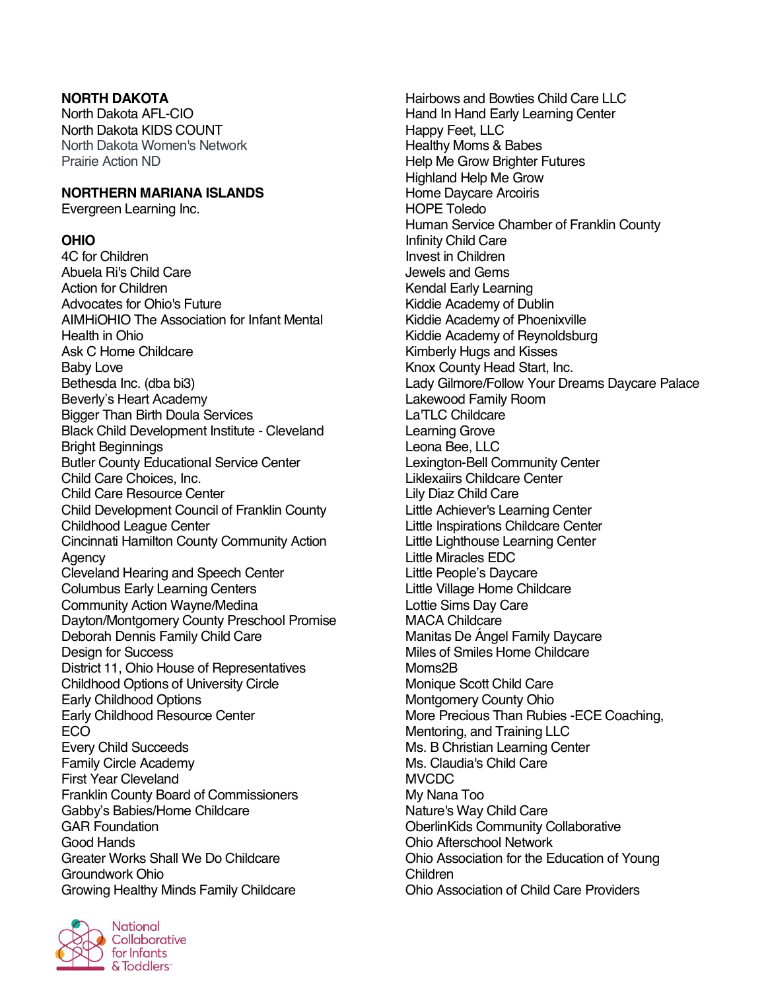# **NORTH DAKOTA**

North Dakota AFL-CIO North Dakota KIDS COUNT North Dakota Women's Network Prairie Action ND

#### **NORTHERN MARIANA ISLANDS**

Evergreen Learning Inc.

#### **OHIO**

4C for Children Abuela Ri's Child Care Action for Children Advocates for Ohio's Future AIMHiOHIO The Association for Infant Mental Health in Ohio Ask C Home Childcare Baby Love Bethesda Inc. (dba bi3) Beverly's Heart Academy Bigger Than Birth Doula Services Black Child Development Institute - Cleveland Bright Beginnings Butler County Educational Service Center Child Care Choices, Inc. Child Care Resource Center Child Development Council of Franklin County Childhood League Center Cincinnati Hamilton County Community Action Agency Cleveland Hearing and Speech Center Columbus Early Learning Centers Community Action Wayne/Medina Dayton/Montgomery County Preschool Promise Deborah Dennis Family Child Care Design for Success District 11, Ohio House of Representatives Childhood Options of University Circle Early Childhood Options Early Childhood Resource Center ECO Every Child Succeeds Family Circle Academy First Year Cleveland Franklin County Board of Commissioners Gabby's Babies/Home Childcare GAR Foundation Good Hands Greater Works Shall We Do Childcare Groundwork Ohio Growing Healthy Minds Family Childcare



Hairbows and Bowties Child Care LLC Hand In Hand Early Learning Center Happy Feet, LLC Healthy Moms & Babes Help Me Grow Brighter Futures Highland Help Me Grow Home Daycare Arcoiris HOPE Toledo Human Service Chamber of Franklin County Infinity Child Care Invest in Children Jewels and Gems Kendal Early Learning Kiddie Academy of Dublin Kiddie Academy of Phoenixville Kiddie Academy of Reynoldsburg Kimberly Hugs and Kisses Knox County Head Start, Inc. Lady Gilmore/Follow Your Dreams Daycare Palace Lakewood Family Room La'TLC Childcare Learning Grove Leona Bee, LLC Lexington-Bell Community Center Liklexaiirs Childcare Center Lily Diaz Child Care Little Achiever's Learning Center Little Inspirations Childcare Center Little Lighthouse Learning Center Little Miracles EDC Little People's Daycare Little Village Home Childcare Lottie Sims Day Care MACA Childcare Manitas De Ángel Family Daycare Miles of Smiles Home Childcare Moms2B Monique Scott Child Care Montgomery County Ohio More Precious Than Rubies -ECE Coaching, Mentoring, and Training LLC Ms. B Christian Learning Center Ms. Claudia's Child Care **MVCDC** My Nana Too Nature's Way Child Care OberlinKids Community Collaborative Ohio Afterschool Network Ohio Association for the Education of Young Children Ohio Association of Child Care Providers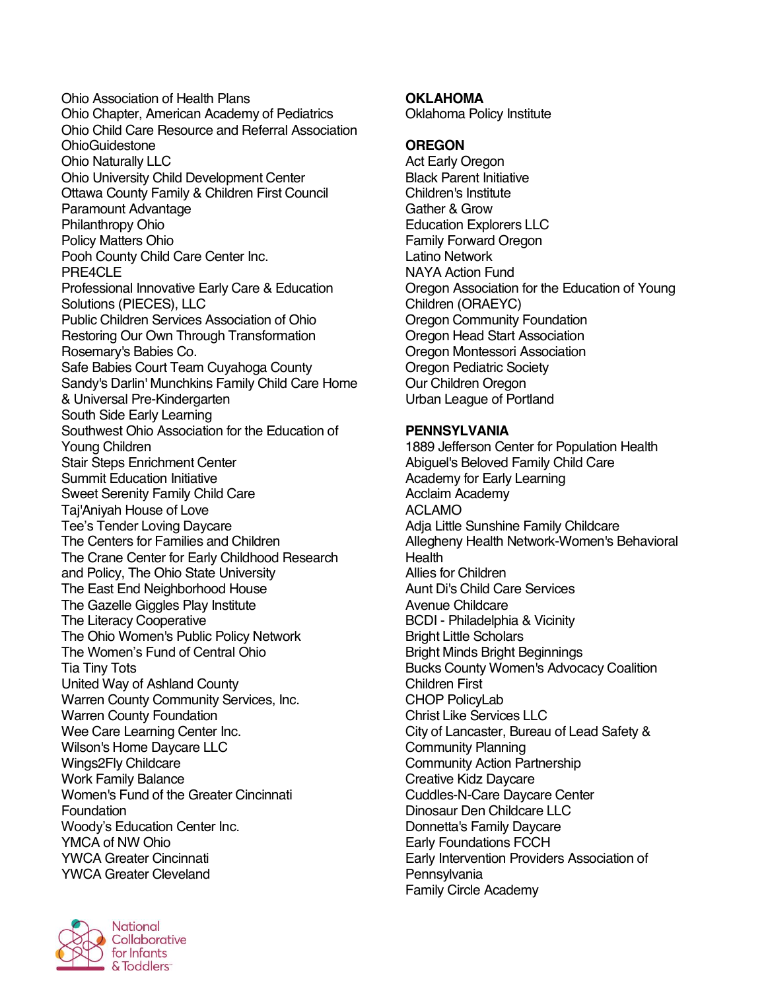Ohio Association of Health Plans Ohio Chapter, American Academy of Pediatrics Ohio Child Care Resource and Referral Association **OhioGuidestone** Ohio Naturally LLC Ohio University Child Development Center Ottawa County Family & Children First Council Paramount Advantage Philanthropy Ohio Policy Matters Ohio Pooh County Child Care Center Inc. PRF4CLF Professional Innovative Early Care & Education Solutions (PIECES), LLC Public Children Services Association of Ohio Restoring Our Own Through Transformation Rosemary's Babies Co. Safe Babies Court Team Cuyahoga County Sandy's Darlin' Munchkins Family Child Care Home & Universal Pre-Kindergarten South Side Early Learning Southwest Ohio Association for the Education of Young Children Stair Steps Enrichment Center Summit Education Initiative Sweet Serenity Family Child Care Taj'Aniyah House of Love Tee's Tender Loving Daycare The Centers for Families and Children The Crane Center for Early Childhood Research and Policy, The Ohio State University The East End Neighborhood House The Gazelle Giggles Play Institute The Literacy Cooperative The Ohio Women's Public Policy Network The Women's Fund of Central Ohio Tia Tiny Tots United Way of Ashland County Warren County Community Services, Inc. Warren County Foundation Wee Care Learning Center Inc. Wilson's Home Daycare LLC Wings2Fly Childcare Work Family Balance Women's Fund of the Greater Cincinnati Foundation Woody's Education Center Inc. YMCA of NW Ohio YWCA Greater Cincinnati YWCA Greater Cleveland



## **OKLAHOMA**

Oklahoma Policy Institute

#### **OREGON**

Act Early Oregon Black Parent Initiative Children's Institute Gather & Grow Education Explorers LLC Family Forward Oregon Latino Network NAYA Action Fund Oregon Association for the Education of Young Children (ORAEYC) Oregon Community Foundation Oregon Head Start Association Oregon Montessori Association Oregon Pediatric Society Our Children Oregon Urban League of Portland

#### **PENNSYLVANIA**

1889 Jefferson Center for Population Health Abiguel's Beloved Family Child Care Academy for Early Learning Acclaim Academy ACLAMO Adja Little Sunshine Family Childcare Allegheny Health Network-Women's Behavioral **Health** Allies for Children Aunt Di's Child Care Services Avenue Childcare BCDI - Philadelphia & Vicinity Bright Little Scholars Bright Minds Bright Beginnings Bucks County Women's Advocacy Coalition Children First CHOP PolicyLab Christ Like Services LLC City of Lancaster, Bureau of Lead Safety & Community Planning Community Action Partnership Creative Kidz Daycare Cuddles-N-Care Daycare Center Dinosaur Den Childcare LLC Donnetta's Family Daycare Early Foundations FCCH Early Intervention Providers Association of **Pennsylvania** Family Circle Academy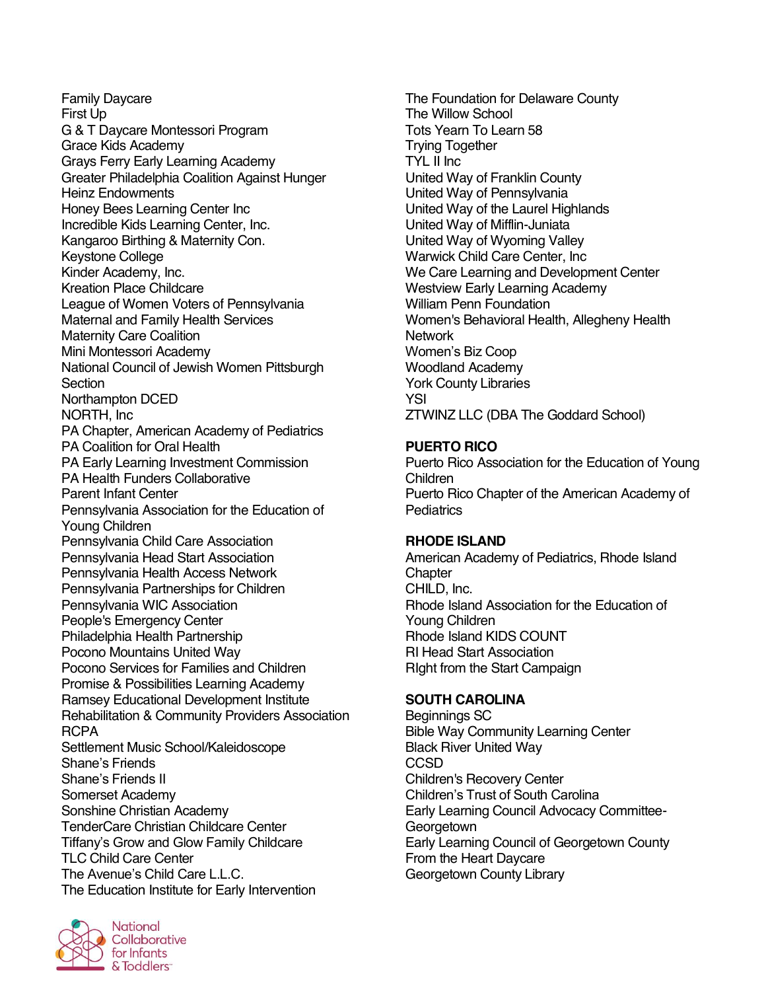Family Daycare First Up G & T Daycare Montessori Program Grace Kids Academy Grays Ferry Early Learning Academy Greater Philadelphia Coalition Against Hunger Heinz Endowments Honey Bees Learning Center Inc Incredible Kids Learning Center, Inc. Kangaroo Birthing & Maternity Con. Keystone College Kinder Academy, Inc. Kreation Place Childcare League of Women Voters of Pennsylvania Maternal and Family Health Services Maternity Care Coalition Mini Montessori Academy National Council of Jewish Women Pittsburgh **Section** Northampton DCED NORTH, Inc PA Chapter, American Academy of Pediatrics PA Coalition for Oral Health PA Early Learning Investment Commission PA Health Funders Collaborative Parent Infant Center Pennsylvania Association for the Education of Young Children Pennsylvania Child Care Association Pennsylvania Head Start Association Pennsylvania Health Access Network Pennsylvania Partnerships for Children Pennsylvania WIC Association People's Emergency Center Philadelphia Health Partnership Pocono Mountains United Way Pocono Services for Families and Children Promise & Possibilities Learning Academy Ramsey Educational Development Institute Rehabilitation & Community Providers Association RCPA Settlement Music School/Kaleidoscope Shane's Friends Shane's Friends II Somerset Academy Sonshine Christian Academy TenderCare Christian Childcare Center Tiffany's Grow and Glow Family Childcare TLC Child Care Center The Avenue's Child Care L.L.C. The Education Institute for Early Intervention



The Foundation for Delaware County The Willow School Tots Yearn To Learn 58 Trying Together TYL II Inc United Way of Franklin County United Way of Pennsylvania United Way of the Laurel Highlands United Way of Mifflin-Juniata United Way of Wyoming Valley Warwick Child Care Center, Inc We Care Learning and Development Center Westview Early Learning Academy William Penn Foundation Women's Behavioral Health, Allegheny Health **Network** Women's Biz Coop Woodland Academy York County Libraries YSI ZTWINZ LLC (DBA The Goddard School)

#### **PUERTO RICO**

Puerto Rico Association for the Education of Young Children Puerto Rico Chapter of the American Academy of **Pediatrics** 

#### **RHODE ISLAND**

American Academy of Pediatrics, Rhode Island **Chapter** CHILD, Inc. Rhode Island Association for the Education of Young Children Rhode Island KIDS COUNT RI Head Start Association RIght from the Start Campaign

#### **SOUTH CAROLINA**

Beginnings SC Bible Way Community Learning Center Black River United Way **CCSD** Children's Recovery Center Children's Trust of South Carolina Early Learning Council Advocacy Committee-**Georgetown** Early Learning Council of Georgetown County From the Heart Daycare Georgetown County Library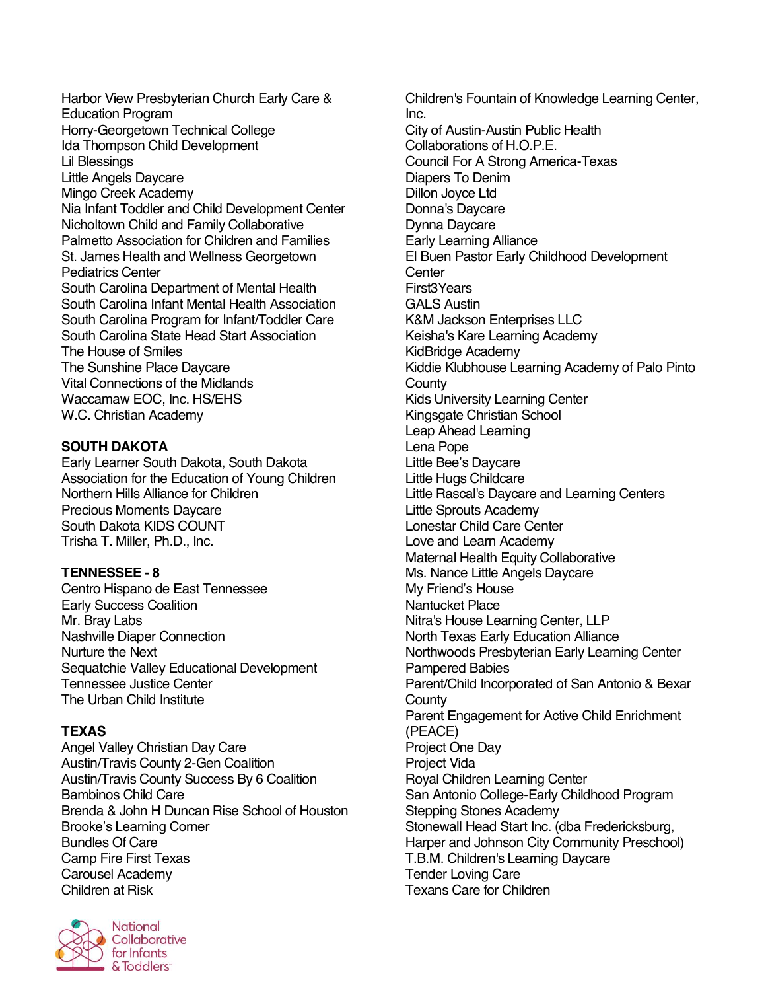Harbor View Presbyterian Church Early Care & Education Program Horry-Georgetown Technical College Ida Thompson Child Development Lil Blessings Little Angels Daycare Mingo Creek Academy Nia Infant Toddler and Child Development Center Nicholtown Child and Family Collaborative Palmetto Association for Children and Families St. James Health and Wellness Georgetown Pediatrics Center South Carolina Department of Mental Health South Carolina Infant Mental Health Association South Carolina Program for Infant/Toddler Care South Carolina State Head Start Association The House of Smiles The Sunshine Place Daycare Vital Connections of the Midlands Waccamaw EOC, Inc. HS/EHS W.C. Christian Academy

# **SOUTH DAKOTA**

Early Learner South Dakota, South Dakota Association for the Education of Young Children Northern Hills Alliance for Children Precious Moments Daycare South Dakota KIDS COUNT Trisha T. Miller, Ph.D., Inc.

# **TENNESSEE - 8**

Centro Hispano de East Tennessee Early Success Coalition Mr. Bray Labs Nashville Diaper Connection Nurture the Next Sequatchie Valley Educational Development Tennessee Justice Center The Urban Child Institute

#### **TEXAS**

Angel Valley Christian Day Care Austin/Travis County 2-Gen Coalition Austin/Travis County Success By 6 Coalition Bambinos Child Care Brenda & John H Duncan Rise School of Houston Brooke's Learning Corner Bundles Of Care Camp Fire First Texas Carousel Academy Children at Risk



Children's Fountain of Knowledge Learning Center, Inc. City of Austin-Austin Public Health Collaborations of H.O.P.E. Council For A Strong America-Texas Diapers To Denim Dillon Joyce Ltd Donna's Daycare Dynna Daycare Early Learning Alliance El Buen Pastor Early Childhood Development **Center** First3Years GALS Austin K&M Jackson Enterprises LLC Keisha's Kare Learning Academy KidBridge Academy Kiddie Klubhouse Learning Academy of Palo Pinto **County** Kids University Learning Center Kingsgate Christian School Leap Ahead Learning Lena Pope Little Bee's Daycare Little Hugs Childcare Little Rascal's Daycare and Learning Centers Little Sprouts Academy Lonestar Child Care Center Love and Learn Academy Maternal Health Equity Collaborative Ms. Nance Little Angels Daycare My Friend's House Nantucket Place Nitra's House Learning Center, LLP North Texas Early Education Alliance Northwoods Presbyterian Early Learning Center Pampered Babies Parent/Child Incorporated of San Antonio & Bexar **County** Parent Engagement for Active Child Enrichment (PEACE) Project One Day Project Vida Royal Children Learning Center San Antonio College-Early Childhood Program Stepping Stones Academy Stonewall Head Start Inc. (dba Fredericksburg, Harper and Johnson City Community Preschool) T.B.M. Children's Learning Daycare Tender Loving Care Texans Care for Children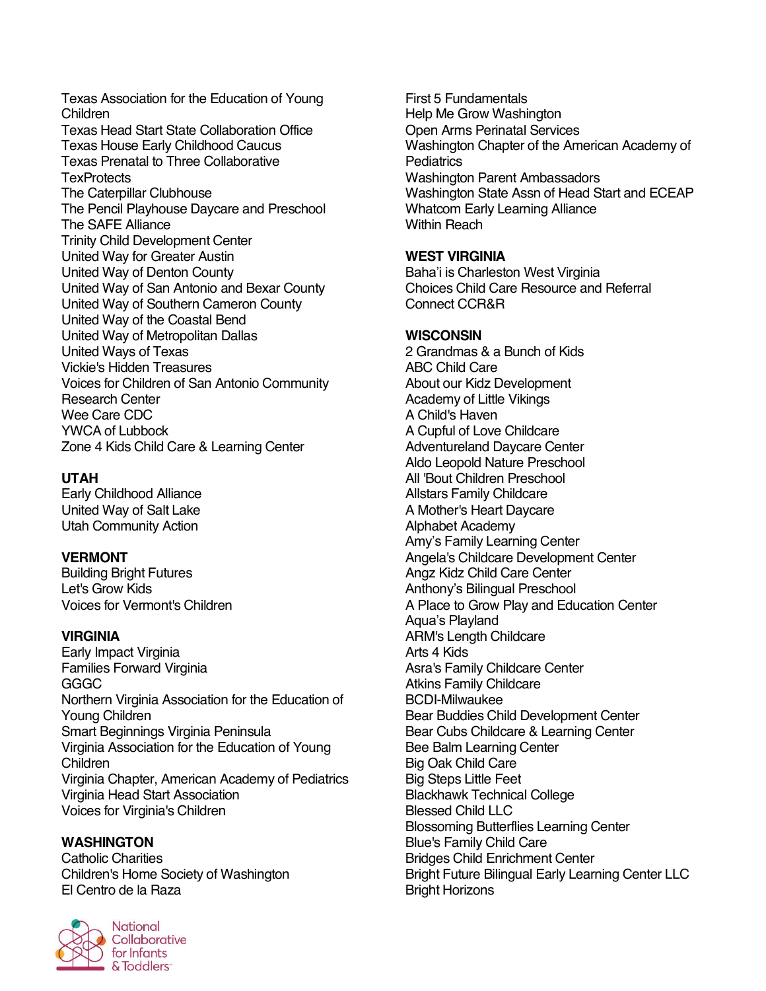Texas Association for the Education of Young Children Texas Head Start State Collaboration Office Texas House Early Childhood Caucus Texas Prenatal to Three Collaborative **TexProtects** The Caterpillar Clubhouse The Pencil Playhouse Daycare and Preschool The SAFE Alliance Trinity Child Development Center United Way for Greater Austin United Way of Denton County United Way of San Antonio and Bexar County United Way of Southern Cameron County United Way of the Coastal Bend United Way of Metropolitan Dallas United Ways of Texas Vickie's Hidden Treasures Voices for Children of San Antonio Community Research Center Wee Care CDC YWCA of Lubbock Zone 4 Kids Child Care & Learning Center

#### **UTAH**

Early Childhood Alliance United Way of Salt Lake Utah Community Action

#### **VERMONT**

Building Bright Futures Let's Grow Kids Voices for Vermont's Children

#### **VIRGINIA**

Early Impact Virginia Families Forward Virginia GGGC Northern Virginia Association for the Education of Young Children Smart Beginnings Virginia Peninsula Virginia Association for the Education of Young Children Virginia Chapter, American Academy of Pediatrics Virginia Head Start Association Voices for Virginia's Children

#### **WASHINGTON**

Catholic Charities Children's Home Society of Washington El Centro de la Raza



First 5 Fundamentals Help Me Grow Washington Open Arms Perinatal Services Washington Chapter of the American Academy of **Pediatrics** Washington Parent Ambassadors Washington State Assn of Head Start and ECEAP Whatcom Early Learning Alliance Within Reach

#### **WEST VIRGINIA**

Baha'i is Charleston West Virginia Choices Child Care Resource and Referral Connect CCR&R

#### **WISCONSIN**

2 Grandmas & a Bunch of Kids ABC Child Care About our Kidz Development Academy of Little Vikings A Child's Haven A Cupful of Love Childcare Adventureland Daycare Center Aldo Leopold Nature Preschool All 'Bout Children Preschool Allstars Family Childcare A Mother's Heart Daycare Alphabet Academy Amy's Family Learning Center Angela's Childcare Development Center Angz Kidz Child Care Center Anthony's Bilingual Preschool A Place to Grow Play and Education Center Aqua's Playland ARM's Length Childcare Arts 4 Kids Asra's Family Childcare Center Atkins Family Childcare BCDI-Milwaukee Bear Buddies Child Development Center Bear Cubs Childcare & Learning Center Bee Balm Learning Center Big Oak Child Care Big Steps Little Feet Blackhawk Technical College Blessed Child LLC Blossoming Butterflies Learning Center Blue's Family Child Care Bridges Child Enrichment Center Bright Future Bilingual Early Learning Center LLC Bright Horizons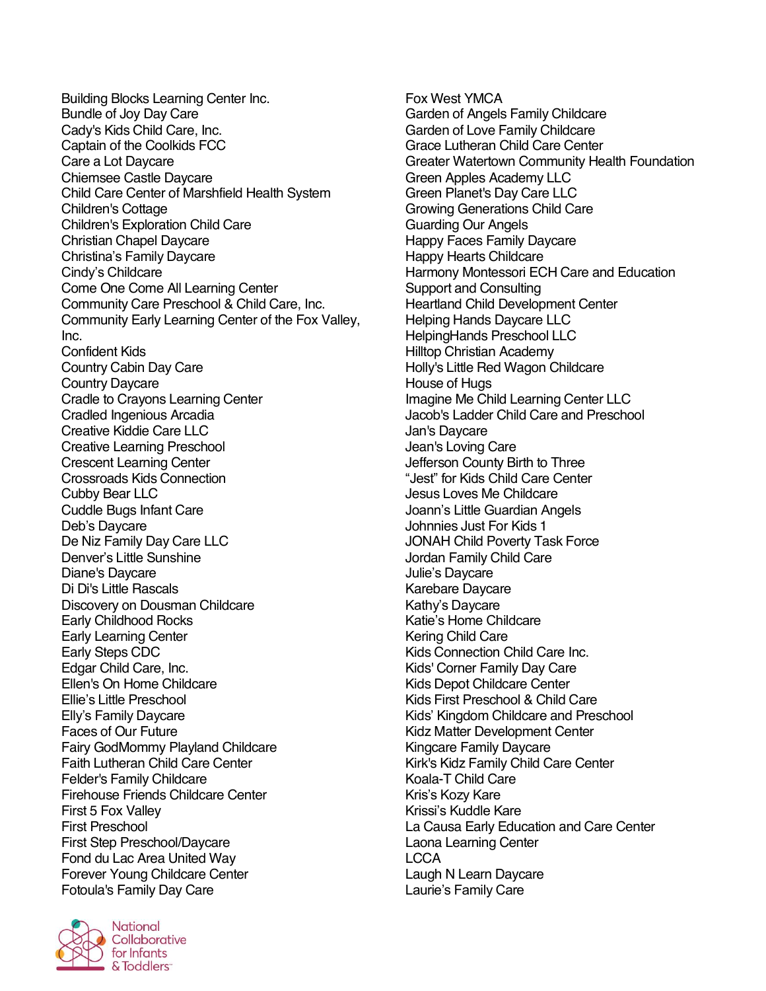Building Blocks Learning Center Inc. Bundle of Joy Day Care Cady's Kids Child Care, Inc. Captain of the Coolkids FCC Care a Lot Daycare Chiemsee Castle Daycare Child Care Center of Marshfield Health System Children's Cottage Children's Exploration Child Care Christian Chapel Daycare Christina's Family Daycare Cindy's Childcare Come One Come All Learning Center Community Care Preschool & Child Care, Inc. Community Early Learning Center of the Fox Valley, Inc. Confident Kids Country Cabin Day Care Country Daycare Cradle to Crayons Learning Center Cradled Ingenious Arcadia Creative Kiddie Care LLC Creative Learning Preschool Crescent Learning Center Crossroads Kids Connection Cubby Bear LLC Cuddle Bugs Infant Care Deb's Daycare De Niz Family Day Care LLC Denver's Little Sunshine Diane's Daycare Di Di's Little Rascals Discovery on Dousman Childcare Early Childhood Rocks Early Learning Center Early Steps CDC Edgar Child Care, Inc. Ellen's On Home Childcare Ellie's Little Preschool Elly's Family Daycare Faces of Our Future Fairy GodMommy Playland Childcare Faith Lutheran Child Care Center Felder's Family Childcare Firehouse Friends Childcare Center First 5 Fox Valley First Preschool First Step Preschool/Daycare Fond du Lac Area United Way Forever Young Childcare Center Fotoula's Family Day Care



**National** Collaborative for Infants & Toddlers<sup>-</sup>

Fox West YMCA Garden of Angels Family Childcare Garden of Love Family Childcare Grace Lutheran Child Care Center Greater Watertown Community Health Foundation Green Apples Academy LLC Green Planet's Day Care LLC Growing Generations Child Care Guarding Our Angels Happy Faces Family Daycare Happy Hearts Childcare Harmony Montessori ECH Care and Education Support and Consulting Heartland Child Development Center Helping Hands Daycare LLC HelpingHands Preschool LLC Hilltop Christian Academy Holly's Little Red Wagon Childcare House of Hugs Imagine Me Child Learning Center LLC Jacob's Ladder Child Care and Preschool Jan's Daycare Jean's Loving Care Jefferson County Birth to Three "Jest" for Kids Child Care Center Jesus Loves Me Childcare Joann's Little Guardian Angels Johnnies Just For Kids 1 JONAH Child Poverty Task Force Jordan Family Child Care Julie's Daycare Karebare Daycare Kathy's Daycare Katie's Home Childcare Kering Child Care Kids Connection Child Care Inc. Kids' Corner Family Day Care Kids Depot Childcare Center Kids First Preschool & Child Care Kids' Kingdom Childcare and Preschool Kidz Matter Development Center Kingcare Family Daycare Kirk's Kidz Family Child Care Center Koala-T Child Care Kris's Kozy Kare Krissi's Kuddle Kare La Causa Early Education and Care Center Laona Learning Center LCCA Laugh N Learn Daycare Laurie's Family Care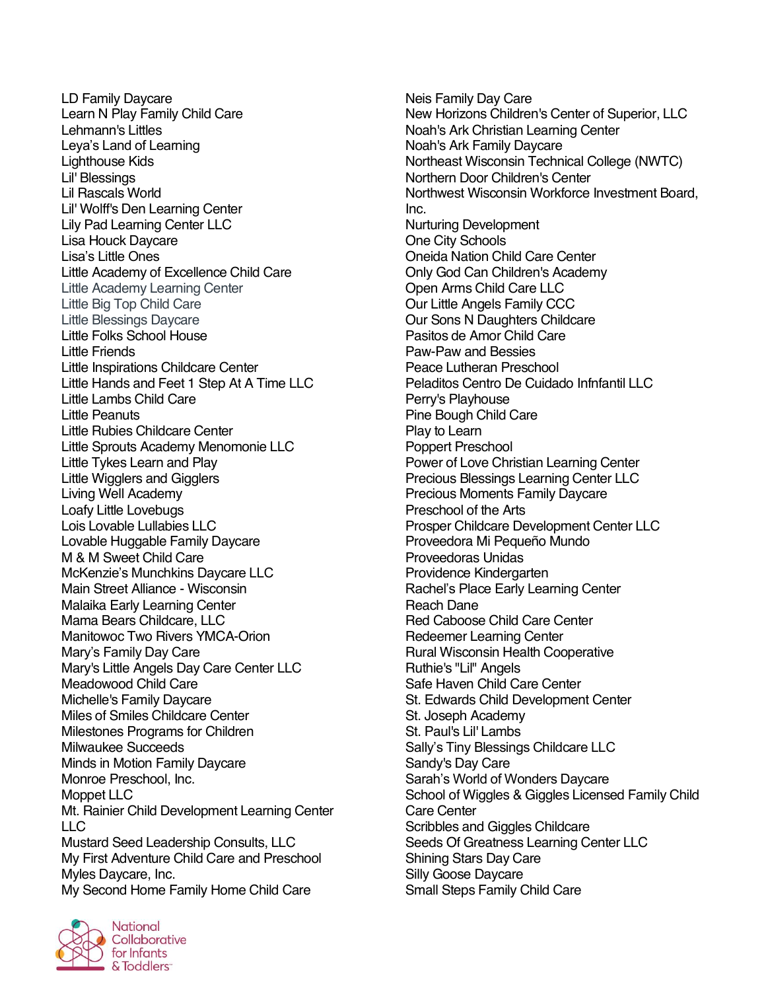LD Family Daycare Learn N Play Family Child Care Lehmann's Littles Leya's Land of Learning Lighthouse Kids Lil' Blessings Lil Rascals World Lil' Wolff's Den Learning Center Lily Pad Learning Center LLC Lisa Houck Daycare Lisa's Little Ones Little Academy of Excellence Child Care Little Academy Learning Center Little Big Top Child Care Little Blessings Daycare Little Folks School House Little Friends Little Inspirations Childcare Center Little Hands and Feet 1 Step At A Time LLC Little Lambs Child Care Little Peanuts Little Rubies Childcare Center Little Sprouts Academy Menomonie LLC Little Tykes Learn and Play Little Wigglers and Gigglers Living Well Academy Loafy Little Lovebugs Lois Lovable Lullabies LLC Lovable Huggable Family Daycare M & M Sweet Child Care McKenzie's Munchkins Daycare LLC Main Street Alliance - Wisconsin Malaika Early Learning Center Mama Bears Childcare, LLC Manitowoc Two Rivers YMCA-Orion Mary's Family Day Care Mary's Little Angels Day Care Center LLC Meadowood Child Care Michelle's Family Daycare Miles of Smiles Childcare Center Milestones Programs for Children Milwaukee Succeeds Minds in Motion Family Daycare Monroe Preschool, Inc. Moppet LLC Mt. Rainier Child Development Learning Center LLC Mustard Seed Leadership Consults, LLC My First Adventure Child Care and Preschool Myles Daycare, Inc. My Second Home Family Home Child Care

Neis Family Day Care New Horizons Children's Center of Superior, LLC Noah's Ark Christian Learning Center Noah's Ark Family Daycare Northeast Wisconsin Technical College (NWTC) Northern Door Children's Center Northwest Wisconsin Workforce Investment Board, Inc. Nurturing Development One City Schools Oneida Nation Child Care Center Only God Can Children's Academy Open Arms Child Care LLC Our Little Angels Family CCC Our Sons N Daughters Childcare Pasitos de Amor Child Care Paw-Paw and Bessies Peace Lutheran Preschool Peladitos Centro De Cuidado Infnfantil LLC Perry's Playhouse Pine Bough Child Care Play to Learn Poppert Preschool Power of Love Christian Learning Center Precious Blessings Learning Center LLC Precious Moments Family Daycare Preschool of the Arts Prosper Childcare Development Center LLC Proveedora Mi Pequeño Mundo Proveedoras Unidas Providence Kindergarten Rachel's Place Early Learning Center Reach Dane Red Caboose Child Care Center Redeemer Learning Center Rural Wisconsin Health Cooperative Ruthie's "Lil" Angels Safe Haven Child Care Center St. Edwards Child Development Center St. Joseph Academy St. Paul's Lil' Lambs Sally's Tiny Blessings Childcare LLC Sandy's Day Care Sarah's World of Wonders Daycare School of Wiggles & Giggles Licensed Family Child Care Center Scribbles and Giggles Childcare Seeds Of Greatness Learning Center LLC Shining Stars Day Care Silly Goose Daycare Small Steps Family Child Care